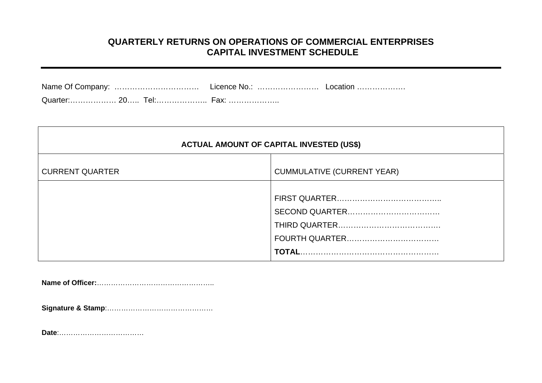# **QUARTERLY RETURNS ON OPERATIONS OF COMMERCIAL ENTERPRISES CAPITAL INVESTMENT SCHEDULE**

| <b>ACTUAL AMOUNT OF CAPITAL INVESTED (US\$)</b> |                                   |  |  |  |  |  |
|-------------------------------------------------|-----------------------------------|--|--|--|--|--|
| <b>CURRENT QUARTER</b>                          | <b>CUMMULATIVE (CURRENT YEAR)</b> |  |  |  |  |  |
|                                                 |                                   |  |  |  |  |  |

**Name of Officer:**…………………………………………..

**Signature & Stamp**:………………………………………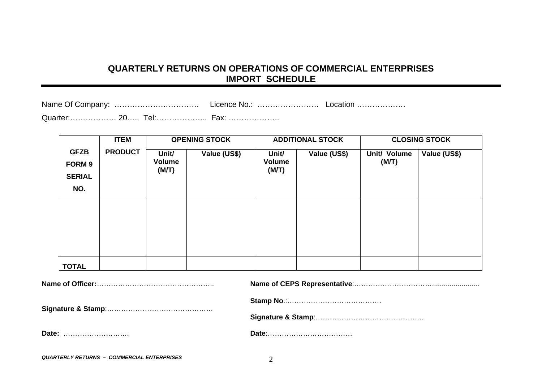# **QUARTERLY RETURNS ON OPERATIONS OF COM MERCIAL ENTERPRISES IMPORT SCHEDULE**

| Quarter: 20 Tel: Fax: |  |  |  |
|-----------------------|--|--|--|

|                                                      | <b>ITEM</b>    |                                 | <b>OPENING STOCK</b> |                                 | <b>ADDITIONAL STOCK</b> | <b>CLOSING STOCK</b>  |              |  |
|------------------------------------------------------|----------------|---------------------------------|----------------------|---------------------------------|-------------------------|-----------------------|--------------|--|
| <b>GFZB</b><br><b>FORM 9</b><br><b>SERIAL</b><br>NO. | <b>PRODUCT</b> | Unit/<br><b>Volume</b><br>(M/T) | Value (US\$)         | Unit/<br><b>Volume</b><br>(M/T) | Value (US\$)            | Unit/ Volume<br>(M/T) | Value (US\$) |  |
|                                                      |                |                                 |                      |                                 |                         |                       |              |  |
|                                                      |                |                                 |                      |                                 |                         |                       |              |  |
|                                                      |                |                                 |                      |                                 |                         |                       |              |  |
| <b>TOTAL</b>                                         |                |                                 |                      |                                 |                         |                       |              |  |

*QUA RTERLY R ETURNS – COMMERCIAL ENTERPRISES*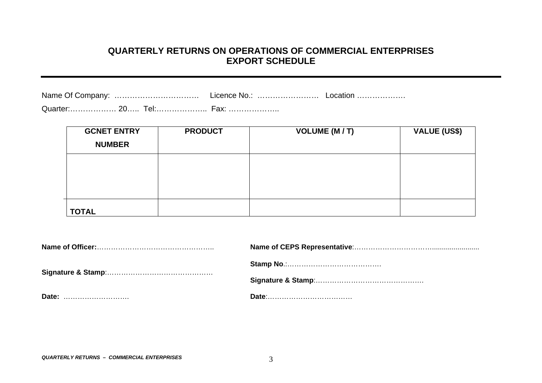#### **QUARTERLY RETURNS ON OPERATIONS OF COMMERCIAL ENTERPRISES EXPORT SCHEDULE**

|               |  | Licence No.: | Location |
|---------------|--|--------------|----------|
| Quarter: 20 1 |  |              |          |

**GCNET ENTRY NUMBER PRODUCT VOLUME (M / T) VALUE (US\$) TOTAL**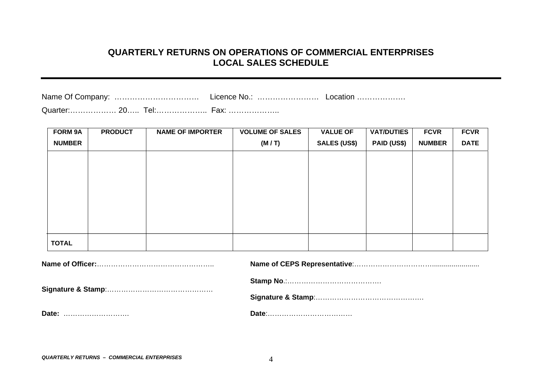### **QUARTERLY RETURNS ON OPERATIONS OF COMMERCIAL ENTERPRISES LOCAL SALES SCHEDULE**

| Quarter: 20 Tel: Fax: |  |  |
|-----------------------|--|--|

| <b>FORM 9A</b> | <b>PRODUCT</b> | <b>NAME OF IMPORTER</b> | <b>VOLUME OF SALES</b> | <b>VALUE OF</b>     | <b>VAT/DUTIES</b>  | <b>FCVR</b>   | <b>FCVR</b> |
|----------------|----------------|-------------------------|------------------------|---------------------|--------------------|---------------|-------------|
| <b>NUMBER</b>  |                |                         | (M/T)                  | <b>SALES (US\$)</b> | <b>PAID (US\$)</b> | <b>NUMBER</b> | <b>DATE</b> |
|                |                |                         |                        |                     |                    |               |             |
|                |                |                         |                        |                     |                    |               |             |
|                |                |                         |                        |                     |                    |               |             |
|                |                |                         |                        |                     |                    |               |             |
|                |                |                         |                        |                     |                    |               |             |
|                |                |                         |                        |                     |                    |               |             |
|                |                |                         |                        |                     |                    |               |             |
|                |                |                         |                        |                     |                    |               |             |
| <b>TOTAL</b>   |                |                         |                        |                     |                    |               |             |

| Date: |  |
|-------|--|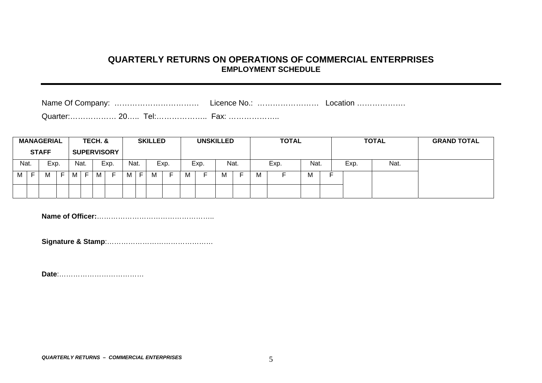#### **QUARTERLY RETURNS ON OPERATIONS OF COMMERCIAL ENTERPRISES EMPLOYMENT SCHEDULE**

Quarter:……………… 20….. Tel:……………….. Fax: ………………..

|      | <b>MANAGERIAL</b><br><b>STAFF</b> |      |   |   | TECH. &<br><b>SUPERVISORY</b> |   |                          |      | <b>SKILLED</b> |   |      |  | <b>UNSKILLED</b> |   |      | <b>TOTAL</b> |      |            |  |  | <b>TOTAL</b> | <b>GRAND TOTAL</b> |
|------|-----------------------------------|------|---|---|-------------------------------|---|--------------------------|------|----------------|---|------|--|------------------|---|------|--------------|------|------------|--|--|--------------|--------------------|
| Nat. |                                   | Exp. |   |   | Nat.                          |   | Exp.                     | Nat. |                |   | Exp. |  | Exp.             |   | Nat. |              | Exp. | Nat.       |  |  | Nat.         |                    |
| M    | Е                                 | м    | - | М | Е                             | M | $\overline{\phantom{0}}$ | М    | E.             | м |      |  |                  | м |      | м            |      | <b>IVI</b> |  |  |              |                    |
|      |                                   |      |   |   |                               |   |                          |      |                |   |      |  |                  |   |      |              |      |            |  |  |              |                    |

**Name of Officer:**…………………………………………..

**Signature & Stamp**:………………………………………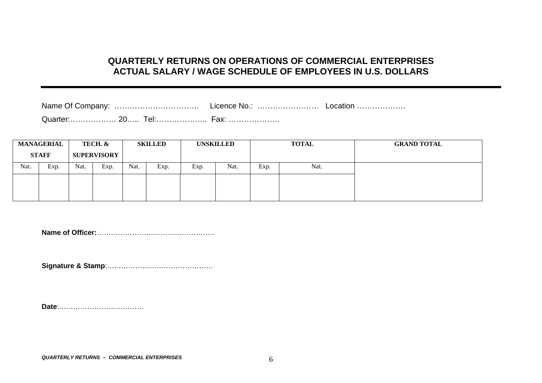# **QUARTERLY RETURNS ON OPERATIONS OF COMMERCIAL ENTERPRISES ACTUAL SALARY / WAGE SCHEDULE OF EMPLOYEES IN U.S. DOLLARS**

| Name Of Company: | Licence No.: | Location |
|------------------|--------------|----------|
|                  |              |          |

Quarter:……………… 20….. Tel:……………….. Fax: ………………..

|      | <b>MANAGERIAL</b> |      | TECH. &            |      | <b>SKILLED</b> |      | <b>UNSKILLED</b> | <b>TOTAL</b> |      | <b>GRAND TOTAL</b> |
|------|-------------------|------|--------------------|------|----------------|------|------------------|--------------|------|--------------------|
|      | <b>STAFF</b>      |      | <b>SUPERVISORY</b> |      |                |      |                  |              |      |                    |
| Nat. | Exp.              | Nat. | Exp.               | Nat. | Exp.           | Exp. | Nat.             | Exp.         | Nat. |                    |
|      |                   |      |                    |      |                |      |                  |              |      |                    |
|      |                   |      |                    |      |                |      |                  |              |      |                    |

**Name of Officer:**…………………………………………..

**Signature & Stamp**:………………………………………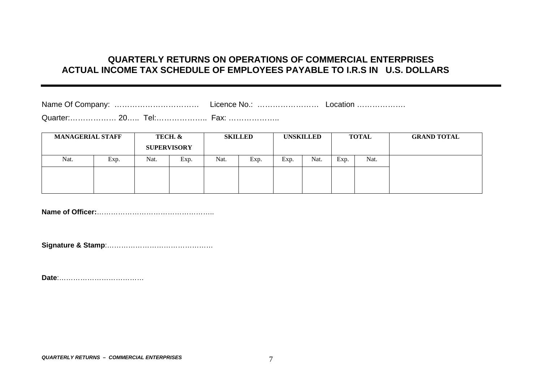# **QUARTERLY RETURNS ON OPERATIONS OF COMMERCIAL ENTERPRISES ACTUAL INCOME TAX SCHEDULE OF EMPLOYEES PAYABLE TO I.R.S IN U.S. DOLLARS**

| $\bigcap_{x \in \mathbb{R}} \mathbb{R}$ and $\bigcap_{x \in \mathbb{R}} \mathbb{R}$ |  | . |  |
|-------------------------------------------------------------------------------------|--|---|--|

Quarter:……………… 20….. Tel:……………….. Fax: ………………..

| <b>MANAGERIAL STAFF</b> |      | <b>SUPERVISORY</b> | TECH. & | <b>SKILLED</b> |      | <b>UNSKILLED</b> |      | <b>TOTAL</b> |      | <b>GRAND TOTAL</b> |
|-------------------------|------|--------------------|---------|----------------|------|------------------|------|--------------|------|--------------------|
| Nat.                    | Exp. | Nat.               | Exp.    |                | Exp. | Exp.             | Nat. | Exp.         | Nat. |                    |
|                         |      |                    |         |                |      |                  |      |              |      |                    |

**Name of Officer:**…………………. . . . . . . . . . . . . . . . . . . . . . . . .

**Signature & Stamp**:…………… …………… ……………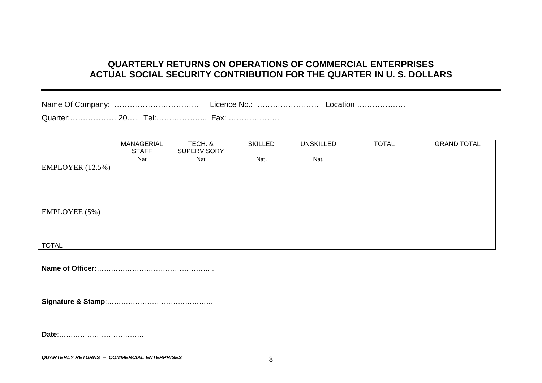# **QUARTERLY RETURNS ON OPERATIONS OF COMMERCIAL ENTERPRISES ACTUAL SOCIAL SECURITY CONTRIBUTION FOR THE QUARTER IN U. S. DOLLARS**

|                  | MANAGERIAL<br>TECH. & |                    | <b>SKILLED</b> | <b>UNSKILLED</b> | <b>TOTAL</b> | <b>GRAND TOTAL</b> |  |
|------------------|-----------------------|--------------------|----------------|------------------|--------------|--------------------|--|
|                  | <b>STAFF</b>          | <b>SUPERVISORY</b> |                |                  |              |                    |  |
|                  | Nat                   | Nat                | Nat.           | Nat.             |              |                    |  |
| EMPLOYER (12.5%) |                       |                    |                |                  |              |                    |  |
|                  |                       |                    |                |                  |              |                    |  |
|                  |                       |                    |                |                  |              |                    |  |
|                  |                       |                    |                |                  |              |                    |  |
|                  |                       |                    |                |                  |              |                    |  |
| EMPLOYEE (5%)    |                       |                    |                |                  |              |                    |  |
|                  |                       |                    |                |                  |              |                    |  |
|                  |                       |                    |                |                  |              |                    |  |
|                  |                       |                    |                |                  |              |                    |  |
| <b>TOTAL</b>     |                       |                    |                |                  |              |                    |  |
|                  |                       |                    |                |                  |              |                    |  |

**Name of Officer:**…………………………………………..

**Signature & Stamp**:…………… …………… ……………

**Date**:………………………………

*QUARTERLY RETURNS – COMMERCIAL ENTERPRISES*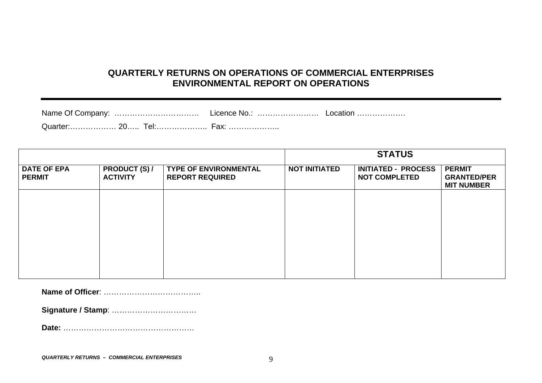### **QUARTERLY RETURNS ON OPERATIONS OF COMMERCIAL ENTERPRISES ENVIRONMENTAL REPORT ON OPERATIONS**

|  | Licence No.: | Location |
|--|--------------|----------|
|  |              |          |

|                                     |                                         |                                                        |                      | <b>STATUS</b>                                      |                                                          |  |  |  |  |
|-------------------------------------|-----------------------------------------|--------------------------------------------------------|----------------------|----------------------------------------------------|----------------------------------------------------------|--|--|--|--|
| <b>DATE OF EPA</b><br><b>PERMIT</b> | <b>PRODUCT (S) /</b><br><b>ACTIVITY</b> | <b>TYPE OF ENVIRONMENTAL</b><br><b>REPORT REQUIRED</b> | <b>NOT INITIATED</b> | <b>INITIATED - PROCESS</b><br><b>NOT COMPLETED</b> | <b>PERMIT</b><br><b>GRANTED/PER</b><br><b>MIT NUMBER</b> |  |  |  |  |
|                                     |                                         |                                                        |                      |                                                    |                                                          |  |  |  |  |
|                                     |                                         |                                                        |                      |                                                    |                                                          |  |  |  |  |
|                                     |                                         |                                                        |                      |                                                    |                                                          |  |  |  |  |
|                                     |                                         |                                                        |                      |                                                    |                                                          |  |  |  |  |
|                                     |                                         |                                                        |                      |                                                    |                                                          |  |  |  |  |

**Name of Officer**: ………………………………..

**Signature / Stamp**: ……………………………

**Date:** ……………………………………………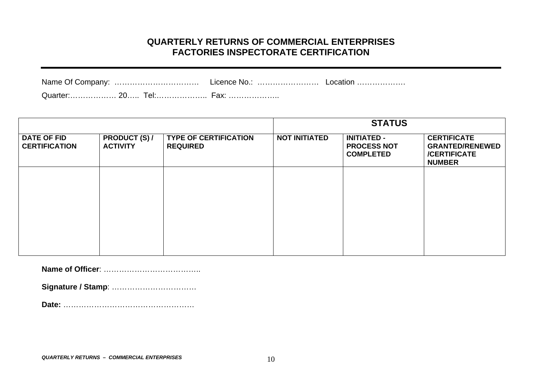### **QUARTERLY RETURNS OF COMMERCIAL ENTERPRISES FACTORIES INSPECTORATE CERTIFICATION**

| Name Of Company: |        | Licence No. | Location |
|------------------|--------|-------------|----------|
|                  | $\sim$ |             |          |

Quarter:……………… 20….. Tel:……………….. Fax: ………………..

|                                            |                                         |                                                 |                      | <b>STATUS</b>                                                |                                                                                      |
|--------------------------------------------|-----------------------------------------|-------------------------------------------------|----------------------|--------------------------------------------------------------|--------------------------------------------------------------------------------------|
| <b>DATE OF FID</b><br><b>CERTIFICATION</b> | <b>PRODUCT (S) /</b><br><b>ACTIVITY</b> | <b>TYPE OF CERTIFICATION</b><br><b>REQUIRED</b> | <b>NOT INITIATED</b> | <b>INITIATED -</b><br><b>PROCESS NOT</b><br><b>COMPLETED</b> | <b>CERTIFICATE</b><br><b>GRANTED/RENEWED</b><br><b>/CERTIFICATE</b><br><b>NUMBER</b> |
|                                            |                                         |                                                 |                      |                                                              |                                                                                      |
|                                            |                                         |                                                 |                      |                                                              |                                                                                      |
|                                            |                                         |                                                 |                      |                                                              |                                                                                      |
|                                            |                                         |                                                 |                      |                                                              |                                                                                      |

**Name of Officer**: ………………………………..

**Signature / Stamp**: ……………………………

**Date:** ……………………………………………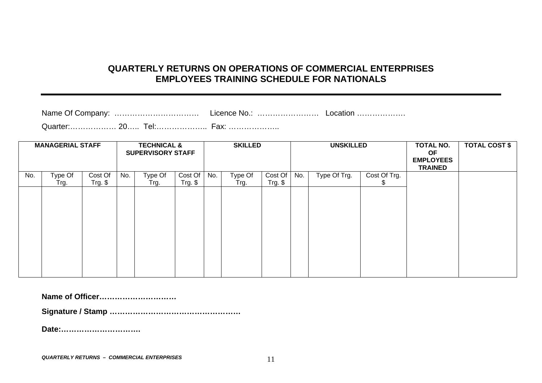### **QUARTERLY RETURNS ON OPERATIONS OF COMMERCIAL ENTERPRISES EMPLOYEES TRAINING SCHEDULE FOR NATIONALS**

| Name Of Company:<br> | Licence No.: | LOCation ………………… |
|----------------------|--------------|------------------|
|                      |              |                  |

Quarter:……………… 20….. Tel:……………….. Fax: ………………..

|     | <b>MANAGERIAL STAFF</b> |                      |     | <b>TECHNICAL &amp;</b><br><b>SUPERVISORY STAFF</b> |                      |     | <b>SKILLED</b>  |                      | <b>UNSKILLED</b> |              |                    | TOTAL NO.<br><b>OF</b><br><b>EMPLOYEES</b><br><b>TRAINED</b> | <b>TOTAL COST \$</b> |
|-----|-------------------------|----------------------|-----|----------------------------------------------------|----------------------|-----|-----------------|----------------------|------------------|--------------|--------------------|--------------------------------------------------------------|----------------------|
| No. | Type Of<br>Trg.         | Cost Of<br>$Trg.$ \$ | No. | Type Of<br>Trg.                                    | Cost Of<br>$Trg.$ \$ | No. | Type Of<br>Trg. | Cost Of<br>$Trg.$ \$ | No.              | Type Of Trg. | Cost Of Trg.<br>ъ. |                                                              |                      |
|     |                         |                      |     |                                                    |                      |     |                 |                      |                  |              |                    |                                                              |                      |
|     |                         |                      |     |                                                    |                      |     |                 |                      |                  |              |                    |                                                              |                      |
|     |                         |                      |     |                                                    |                      |     |                 |                      |                  |              |                    |                                                              |                      |
|     |                         |                      |     |                                                    |                      |     |                 |                      |                  |              |                    |                                                              |                      |
|     |                         |                      |     |                                                    |                      |     |                 |                      |                  |              |                    |                                                              |                      |
|     |                         |                      |     |                                                    |                      |     |                 |                      |                  |              |                    |                                                              |                      |

**Name of Officer…………………………** 

**Signature / Stamp ……………………………………………**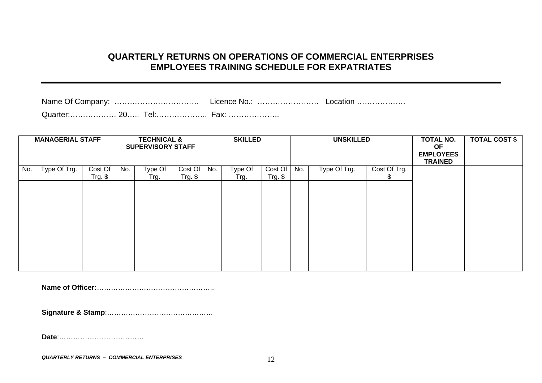# **QUARTERLY RETURNS ON OPERATIONS OF COMMERCIAL ENTERPRISES EMPLOYEES TRAINING SCHEDULE FOR EXPATRIATES**

| <b>MANAGERIAL STAFF</b> |              | <b>TECHNICAL &amp;</b><br><b>SUPERVISORY STAFF</b> |     |                 | <b>SKILLED</b>        |     | <b>UNSKILLED</b> |                    | TOTAL NO.<br>OF.<br><b>EMPLOYEES</b><br><b>TRAINED</b> | <b>TOTAL COST \$</b> |              |  |  |
|-------------------------|--------------|----------------------------------------------------|-----|-----------------|-----------------------|-----|------------------|--------------------|--------------------------------------------------------|----------------------|--------------|--|--|
| No.                     | Type Of Trg. | Cost Of<br>$Trg.$ \$                               | No. | Type Of<br>Trg. | Cost Of<br>$Trg.$ $$$ | No. | Type Of<br>Trg.  | Cost Of<br>Trg. \$ | No.                                                    | Type Of Trg.         | Cost Of Trg. |  |  |
|                         |              |                                                    |     |                 |                       |     |                  |                    |                                                        |                      |              |  |  |
|                         |              |                                                    |     |                 |                       |     |                  |                    |                                                        |                      |              |  |  |
|                         |              |                                                    |     |                 |                       |     |                  |                    |                                                        |                      |              |  |  |
|                         |              |                                                    |     |                 |                       |     |                  |                    |                                                        |                      |              |  |  |
|                         |              |                                                    |     |                 |                       |     |                  |                    |                                                        |                      |              |  |  |
|                         |              |                                                    |     |                 |                       |     |                  |                    |                                                        |                      |              |  |  |

**Name of Officer:**…………………………………………..

**Signature & Stamp**:………………………………………

**Date**:………………………………

*QUARTERLY RETURNS – COMMERCIAL ENTERPRISES* 12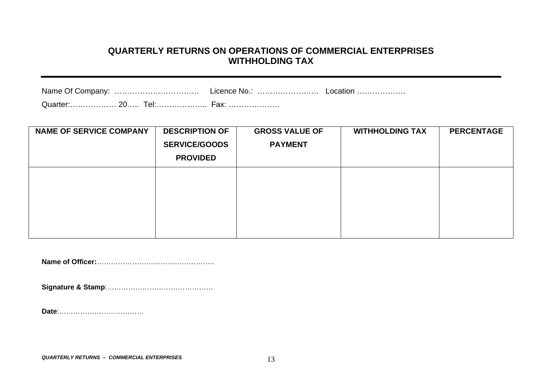#### **QUARTERLY RETURNS ON OPERATIONS OF COMMERCIAL ENTERPRISES WITHHOLDING TAX**

| Name Of Company: | Licence No.: | Location |  |
|------------------|--------------|----------|--|
|                  |              |          |  |

| <b>NAME OF SERVICE COMPANY</b> | <b>DESCRIPTION OF</b> | <b>GROSS VALUE OF</b> | <b>WITHHOLDING TAX</b> | <b>PERCENTAGE</b> |
|--------------------------------|-----------------------|-----------------------|------------------------|-------------------|
|                                | <b>SERVICE/GOODS</b>  | <b>PAYMENT</b>        |                        |                   |
|                                | <b>PROVIDED</b>       |                       |                        |                   |
|                                |                       |                       |                        |                   |
|                                |                       |                       |                        |                   |
|                                |                       |                       |                        |                   |
|                                |                       |                       |                        |                   |
|                                |                       |                       |                        |                   |

**Name of Officer:**………………… …………… …………..

**Signature & Stamp**:…………… …………… ……………